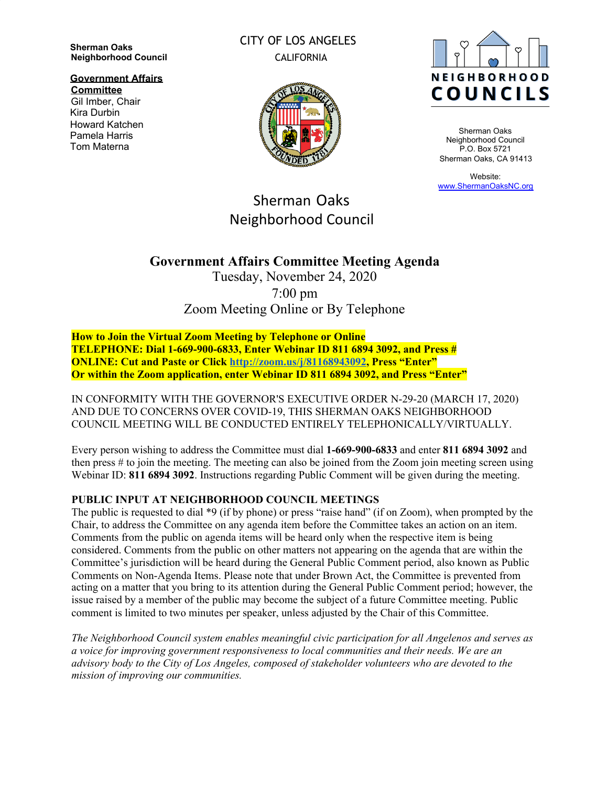**Sherman Oaks Neighborhood Council**

**Government Affairs Committee**

Gil Imber, Chair Kira Durbin Howard Katchen Pamela Harris Tom Materna

CITY OF LOS ANGELES CALIFORNIA



Sherman Oaks Neighborhood Council P.O. Box 5721 Sherman Oaks, CA 91413

Website: [www.ShermanOaksNC.org](http://www.shermanoaksnc.org/)

# Sherman Oaks Neighborhood Council

## **Government Affairs Committee Meeting Agenda**

Tuesday, November 24, 2020 7:00 pm Zoom Meeting Online or By Telephone

**How to Join the Virtual Zoom Meeting by Telephone or Online TELEPHONE: Dial 1-669-900-6833, Enter Webinar ID 811 6894 3092, and Press # ONLINE: Cut and Paste or Click <http://zoom.us/j/81168943092>, Press "Enter" Or within the Zoom application, enter Webinar ID 811 6894 3092, and Press "Enter"**

IN CONFORMITY WITH THE GOVERNOR'S EXECUTIVE ORDER N-29-20 (MARCH 17, 2020) AND DUE TO CONCERNS OVER COVID-19, THIS SHERMAN OAKS NEIGHBORHOOD COUNCIL MEETING WILL BE CONDUCTED ENTIRELY TELEPHONICALLY/VIRTUALLY.

Every person wishing to address the Committee must dial **1-669-900-6833** and enter **811 6894 3092** and then press # to join the meeting. The meeting can also be joined from the Zoom join meeting screen using Webinar ID: **811 6894 3092**. Instructions regarding Public Comment will be given during the meeting.

### **PUBLIC INPUT AT NEIGHBORHOOD COUNCIL MEETINGS**

The public is requested to dial \*9 (if by phone) or press "raise hand" (if on Zoom), when prompted by the Chair, to address the Committee on any agenda item before the Committee takes an action on an item. Comments from the public on agenda items will be heard only when the respective item is being considered. Comments from the public on other matters not appearing on the agenda that are within the Committee's jurisdiction will be heard during the General Public Comment period, also known as Public Comments on Non-Agenda Items. Please note that under Brown Act, the Committee is prevented from acting on a matter that you bring to its attention during the General Public Comment period; however, the issue raised by a member of the public may become the subject of a future Committee meeting. Public comment is limited to two minutes per speaker, unless adjusted by the Chair of this Committee.

*The Neighborhood Council system enables meaningful civic participation for all Angelenos and serves as a voice for improving government responsiveness to local communities and their needs. We are an advisory body to the City of Los Angeles, composed of stakeholder volunteers who are devoted to the mission of improving our communities.*

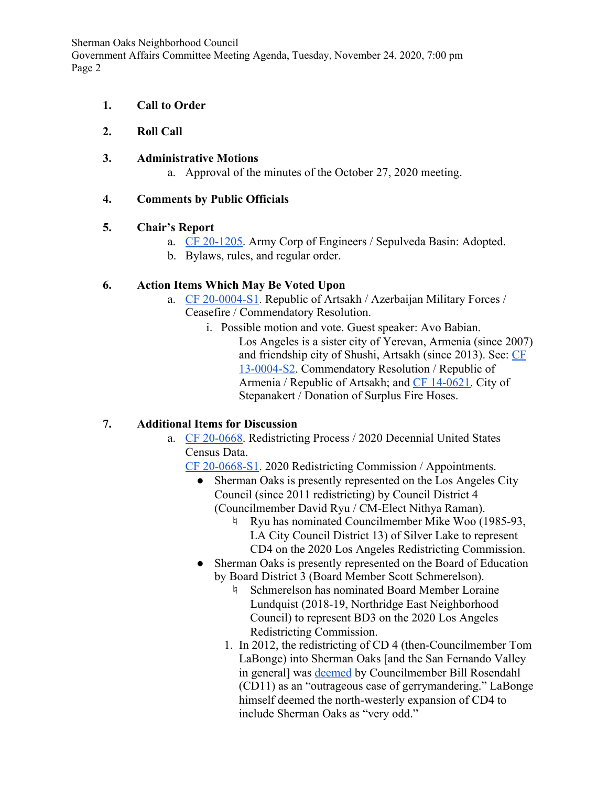Sherman Oaks Neighborhood Council

Government Affairs Committee Meeting Agenda, Tuesday, November 24, 2020, 7:00 pm Page 2

- **1. Call to Order**
- **2. Roll Call**
- **3. Administrative Motions**
	- a. Approval of the minutes of the October 27, 2020 meeting.

## **4. Comments by Public Officials**

### **5. Chair's Report**

- a. [CF 20-1205](https://cityclerk.lacity.org/lacityclerkconnect/index.cfm?fa=ccfi.viewrecord&cfnumber=20-1205). Army Corp of Engineers / Sepulveda Basin: Adopted.
- b. Bylaws, rules, and regular order.

## **6. Action Items Which May Be Voted Upon**

- a. [CF 20-0004-S1](https://cityclerk.lacity.org/lacityclerkconnect/index.cfm?fa=ccfi.viewrecord&cfnumber=20-0004-S1). Republic of Artsakh / Azerbaijan Military Forces / Ceasefire / Commendatory Resolution.
	- i. Possible motion and vote. Guest speaker: Avo Babian. Los Angeles is a sister city of Yerevan, Armenia (since 2007) and friendship city of Shushi, Artsakh (since 2013). See: [CF](http://clkrep.lacity.org/onlinedocs/2013/13-0004-s2_misc_9-10-13.pdf) [13-0004-S2.](http://clkrep.lacity.org/onlinedocs/2013/13-0004-s2_misc_9-10-13.pdf) Commendatory Resolution / Republic of Armenia / Republic of Artsakh; and [CF 14-0621.](https://cityclerk.lacity.org/lacityclerkconnect/index.cfm?fa=ccfi.viewrecord&cfnumber=14-0621) City of Stepanakert / Donation of Surplus Fire Hoses.

## **7. Additional Items for Discussion**

- a. [CF 20-0668](https://cityclerk.lacity.org/lacityclerkconnect/index.cfm?fa=ccfi.viewrecord&cfnumber=20-0668). Redistricting Process / 2020 Decennial United States Census Data.
	- [CF 20-0668-S1](https://cityclerk.lacity.org/lacityclerkconnect/index.cfm?fa=ccfi.viewrecord&cfnumber=20-0668-S1). 2020 Redistricting Commission / Appointments.
		- Sherman Oaks is presently represented on the Los Angeles City Council (since 2011 redistricting) by Council District 4 (Councilmember David Ryu / CM-Elect Nithya Raman).
			- ♮ Ryu has nominated Councilmember Mike Woo (1985-93, LA City Council District 13) of Silver Lake to represent CD4 on the 2020 Los Angeles Redistricting Commission.
		- Sherman Oaks is presently represented on the Board of Education by Board District 3 (Board Member Scott Schmerelson).
			- ♮ Schmerelson has nominated Board Member Loraine Lundquist (2018-19, Northridge East Neighborhood Council) to represent BD3 on the 2020 Los Angeles Redistricting Commission.
			- 1. In 2012, the redistricting of CD 4 (then-Councilmember Tom LaBonge) into Sherman Oaks [and the San Fernando Valley in general] was [deemed](https://latimesblogs.latimes.com/lanow/2012/01/redistricting-los-angeles-city-maps-.html) by Councilmember Bill Rosendahl (CD11) as an "outrageous case of gerrymandering." LaBonge himself deemed the north-westerly expansion of CD4 to include Sherman Oaks as "very odd."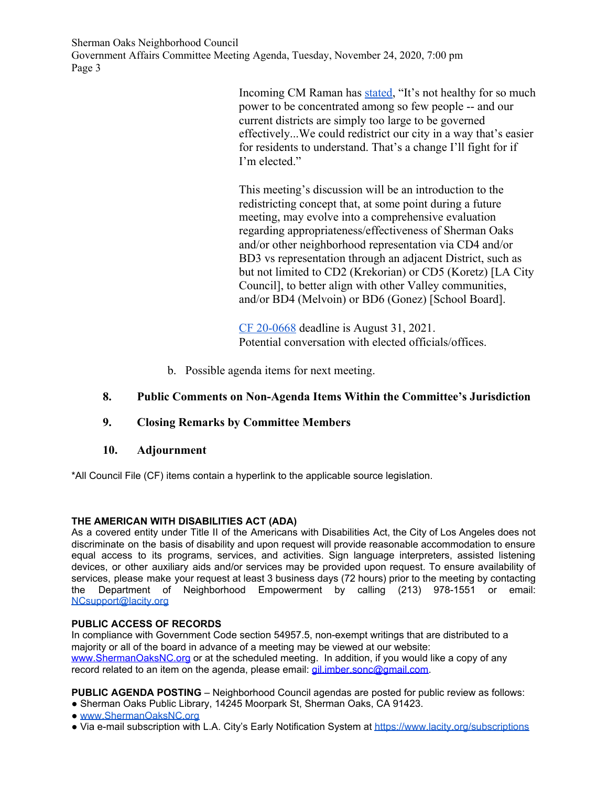Sherman Oaks Neighborhood Council Government Affairs Committee Meeting Agenda, Tuesday, November 24, 2020, 7:00 pm Page 3

> Incoming CM Raman has [stated](https://twitter.com/nithyavraman/status/1318258318528270336), "It's not healthy for so much power to be concentrated among so few people -- and our current districts are simply too large to be governed effectively...We could redistrict our city in a way that's easier for residents to understand. That's a change I'll fight for if I'm elected."

> This meeting's discussion will be an introduction to the redistricting concept that, at some point during a future meeting, may evolve into a comprehensive evaluation regarding appropriateness/effectiveness of Sherman Oaks and/or other neighborhood representation via CD4 and/or BD3 vs representation through an adjacent District, such as but not limited to CD2 (Krekorian) or CD5 (Koretz) [LA City Council], to better align with other Valley communities, and/or BD4 (Melvoin) or BD6 (Gonez) [School Board].

[CF 20-0668](https://cityclerk.lacity.org/lacityclerkconnect/index.cfm?fa=ccfi.viewrecord&cfnumber=20-0668) deadline is August 31, 2021. Potential conversation with elected officials/offices.

b. Possible agenda items for next meeting.

### **8. Public Comments on Non-Agenda Items Within the Committee's Jurisdiction**

### **9. Closing Remarks by Committee Members**

### **10. Adjournment**

\*All Council File (CF) items contain a hyperlink to the applicable source legislation.

### **THE AMERICAN WITH DISABILITIES ACT (ADA)**

As a covered entity under Title II of the Americans with Disabilities Act, the City of Los Angeles does not discriminate on the basis of disability and upon request will provide reasonable accommodation to ensure equal access to its programs, services, and activities. Sign language interpreters, assisted listening devices, or other auxiliary aids and/or services may be provided upon request. To ensure availability of services, please make your request at least 3 business days (72 hours) prior to the meeting by contacting the Department of Neighborhood Empowerment by calling (213) 978-1551 or email: [NCsupport@lacity.org](mailto:NCsupport@lacity.org)

#### **PUBLIC ACCESS OF RECORDS**

In compliance with Government Code section 54957.5, non-exempt writings that are distributed to a majority or all of the board in advance of a meeting may be viewed at our website: [www.ShermanOaksNC.org](http://www.shermanoaksnc.org/) or at the scheduled meeting. In addition, if you would like a copy of any record related to an item on the agenda, please email: [gil.imber.sonc@gmail.com.](mailto:gil.imber.sonc@gmail.com)

**PUBLIC AGENDA POSTING** – Neighborhood Council agendas are posted for public review as follows: ● Sherman Oaks Public Library, 14245 Moorpark St, Sherman Oaks, CA 91423.

- [www.ShermanOaksNC.org](http://www.shermanoaksnc.org/)
- Via e-mail subscription with L.A. City's Early Notification System at <https://www.lacity.org/subscriptions>